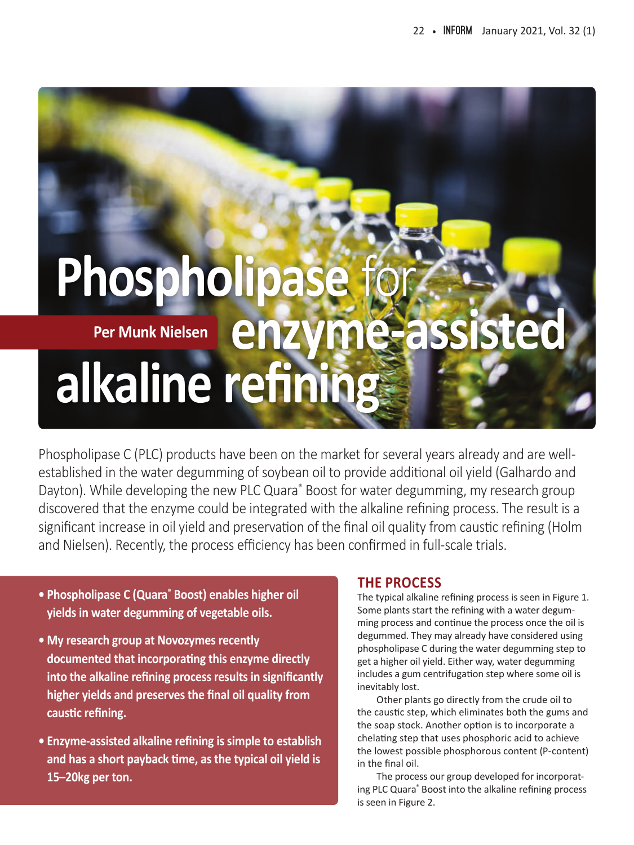# **Phospholipas** Per Munk Nielsen **enzyme-assisted alkaline refining Per Munk Nielsen**

Phospholipase C (PLC) products have been on the market for several years already and are wellestablished in the water degumming of soybean oil to provide additional oil yield (Galhardo and Dayton). While developing the new PLC Quara<sup>®</sup> Boost for water degumming, my research group discovered that the enzyme could be integrated with the alkaline refining process. The result is a significant increase in oil yield and preservation of the final oil quality from caustic refining (Holm and Nielsen). Recently, the process efficiency has been confirmed in full-scale trials.

- **• Phospholipase C (Quara® Boost) enables higher oil yields in water degumming of vegetable oils.**
- **• My research group at Novozymes recently documented that incorporating this enzyme directly into the alkaline refining process results in significantly higher yields and preserves the final oil quality from caustic refining.**
- **• Enzyme-assisted alkaline refining is simple to establish and has a short payback time, as the typical oil yield is 15–20kg per ton.**

## **THE PROCESS**

The typical alkaline refining process is seen in Figure 1. Some plants start the refining with a water degumming process and continue the process once the oil is degummed. They may already have considered using phospholipase C during the water degumming step to get a higher oil yield. Either way, water degumming includes a gum centrifugation step where some oil is inevitably lost.

Other plants go directly from the crude oil to the caustic step, which eliminates both the gums and the soap stock. Another option is to incorporate a chelating step that uses phosphoric acid to achieve the lowest possible phosphorous content (P-content) in the final oil.

The process our group developed for incorporating PLC Quara® Boost into the alkaline refining process is seen in Figure 2.